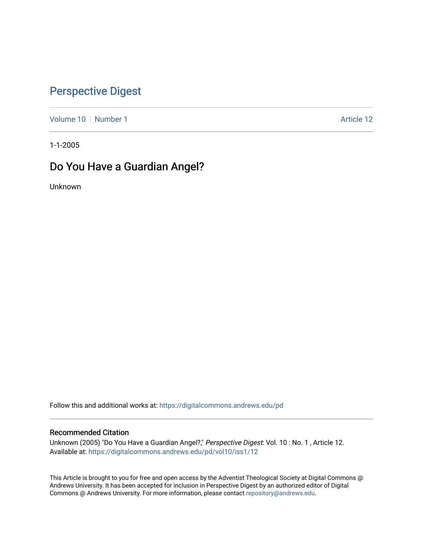## [Perspective Digest](https://digitalcommons.andrews.edu/pd)

[Volume 10](https://digitalcommons.andrews.edu/pd/vol10) [Number 1](https://digitalcommons.andrews.edu/pd/vol10/iss1) Article 12

1-1-2005

### Do You Have a Guardian Angel?

Unknown

Follow this and additional works at: [https://digitalcommons.andrews.edu/pd](https://digitalcommons.andrews.edu/pd?utm_source=digitalcommons.andrews.edu%2Fpd%2Fvol10%2Fiss1%2F12&utm_medium=PDF&utm_campaign=PDFCoverPages)

#### Recommended Citation

Unknown (2005) "Do You Have a Guardian Angel?," Perspective Digest: Vol. 10 : No. 1, Article 12. Available at: [https://digitalcommons.andrews.edu/pd/vol10/iss1/12](https://digitalcommons.andrews.edu/pd/vol10/iss1/12?utm_source=digitalcommons.andrews.edu%2Fpd%2Fvol10%2Fiss1%2F12&utm_medium=PDF&utm_campaign=PDFCoverPages) 

This Article is brought to you for free and open access by the Adventist Theological Society at Digital Commons @ Andrews University. It has been accepted for inclusion in Perspective Digest by an authorized editor of Digital Commons @ Andrews University. For more information, please contact [repository@andrews.edu.](mailto:repository@andrews.edu)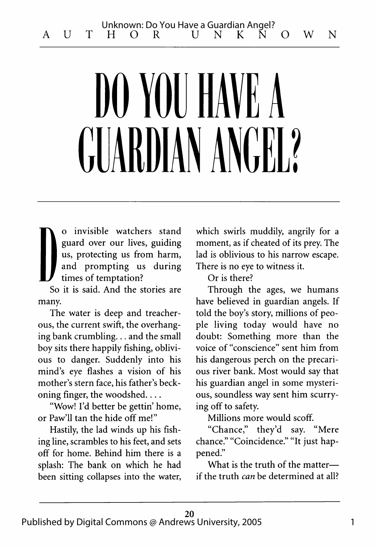# **DO YOU HAVE A** GUARDIAN ANGEL?

**D** o invisible watchers stand guard over our lives, guiding us, protecting us from harm, and prompting us during times of temptation?

So it is said. And the stories are many.

The water is deep and treacherous, the current swift, the overhanging bank crumbling... and the small boy sits there happily fishing, oblivious to danger. Suddenly into his mind's eye flashes a vision of his mother's stern face, his father's beckoning finger, the woodshed....

"Wow! I'd better be gettin' home, or Paw'll tan the hide off me!"

Hastily, the lad winds up his fishing line, scrambles to his feet, and sets off for home. Behind him there is a splash: The bank on which he had been sitting collapses into the water, which swirls muddily, angrily for a moment, as if cheated of its prey. The lad is oblivious to his narrow escape. There is no eye to witness it.

Or is there?

Through the ages, we humans have believed in guardian angels. If told the boy's story, millions of people living today would have no doubt: Something more than the voice of "conscience" sent him from his dangerous perch on the precarious river bank. Most would say that his guardian angel in some mysterious, soundless way sent him scurrying off to safety.

Millions more would scoff.

"Chance," they'd say. "Mere chance." "Coincidence." "It just happened."

What is the truth of the matter if the truth *can* be determined at all?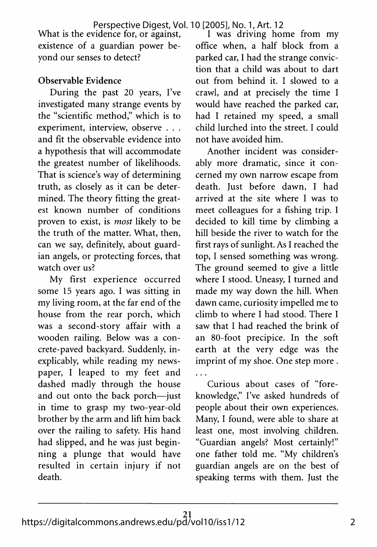What is the evidence for, or against, existence of a guardian power beyond our senses to detect?

### **Observable Evidence**

During the past 20 years, I've investigated many strange events by the "scientific method," which is to experiment, interview, observe . . . and fit the observable evidence into a hypothesis that will accommodate the greatest number of likelihoods. That is science's way of determining truth, as closely as it can be determined. The theory fitting the greatest known number of conditions proven to exist, is *most* likely to be the truth of the matter. What, then, can we say, definitely, about guardian angels, or protecting forces, that watch over us?

My first experience occurred some 15 years ago. I was sitting in my living room, at the far end of the house from the rear porch, which was a second-story affair with a wooden railing. Below was a concrete-paved backyard. Suddenly, inexplicably, while reading my newspaper, I leaped to my feet and dashed madly through the house and out onto the back porch—just in time to grasp my two-year-old brother by the arm and lift him back over the railing to safety. His hand had slipped, and he was just beginning a plunge that would have resulted in certain injury if not death.

I was driving home from my office when, a half block from a parked car, I had the strange conviction that a child was about to dart out from behind it. I slowed to a crawl, and at precisely the time I would have reached the parked car, had I retained my speed, a small child lurched into the street. I could not have avoided him.

Another incident was considerably more dramatic, since it concerned my own narrow escape from death. Just before dawn, I had arrived at the site where I was to meet colleagues for a fishing trip. I decided to kill time by climbing a hill beside the river to watch for the first rays of sunlight. As I reached the top, I sensed something was wrong. The ground seemed to give a little where I stood. Uneasy, I turned and made my way down the hill. When dawn came, curiosity impelled me to climb to where I had stood. There I saw that I had reached the brink of an 80-foot precipice. In the soft earth at the very edge was the imprint of my shoe. One step more .  $\dddotsc$ 

Curious about cases of "foreknowledge," I've asked hundreds of people about their own experiences. Many, I found, were able to share at least one, most involving children. "Guardian angels? Most certainly!" one father told me. "My children's guardian angels are on the best of speaking terms with them. Just the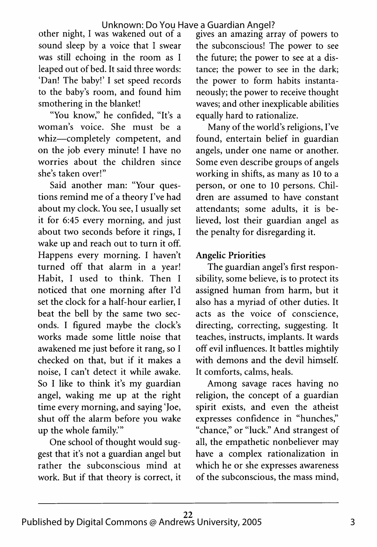other night, I was wakened out of a sound sleep by a voice that I swear was still echoing in the room as I leaped out of bed. It said three words: 'Dan! The baby!' I set speed records to the baby's room, and found him smothering in the blanket!

"You know," he confided, "It's a woman's voice. She must be a whiz—completely competent, and on the job every minute! I have no worries about the children since she's taken over!"

Said another man: "Your questions remind me of a theory I've had about my clock. You see, I usually set it for 6:45 every morning, and just about two seconds before it rings, I wake up and reach out to turn it off. Happens every morning. I haven't turned off that alarm in a year! Habit, I used to think. Then I noticed that one morning after I'd set the clock for a half-hour earlier, I beat the bell by the same two seconds. I figured maybe the clock's works made some little noise that awakened me just before it rang, so I checked on that, but if it makes a noise, I can't detect it while awake. So I like to think it's my guardian angel, waking me up at the right time every morning, and saying 'Joe, shut off the alarm before you wake up the whole family.'"

One school of thought would suggest that it's not a guardian angel but rather the subconscious mind at work. But if that theory is correct, it gives an amazing array of powers to the subconscious! The power to see the future; the power to see at a distance; the power to see in the dark; the power to form habits instantaneously; the power to receive thought waves; and other inexplicable abilities equally hard to rationalize.

Many of the world's religions, I've found, entertain belief in guardian angels, under one name or another. Some even describe groups of angels working in shifts, as many as 10 to a person, or one to 10 persons. Children are assumed to have constant attendants; some adults, it is believed, lost their guardian angel as the penalty for disregarding it.

### **Angelic Priorities**

The guardian angel's first responsibility, some believe, is to protect its assigned human from harm, but it also has a myriad of other duties. It acts as the voice of conscience, directing, correcting, suggesting. It teaches, instructs, implants. It wards off evil influences. It battles mightily with demons and the devil himself. It comforts, calms, heals.

Among savage races having no religion, the concept of a guardian spirit exists, and even the atheist expresses confidence in "hunches," "chance," or "luck." And strangest of all, the empathetic nonbeliever may have a complex rationalization in which he or she expresses awareness of the subconscious, the mass mind,